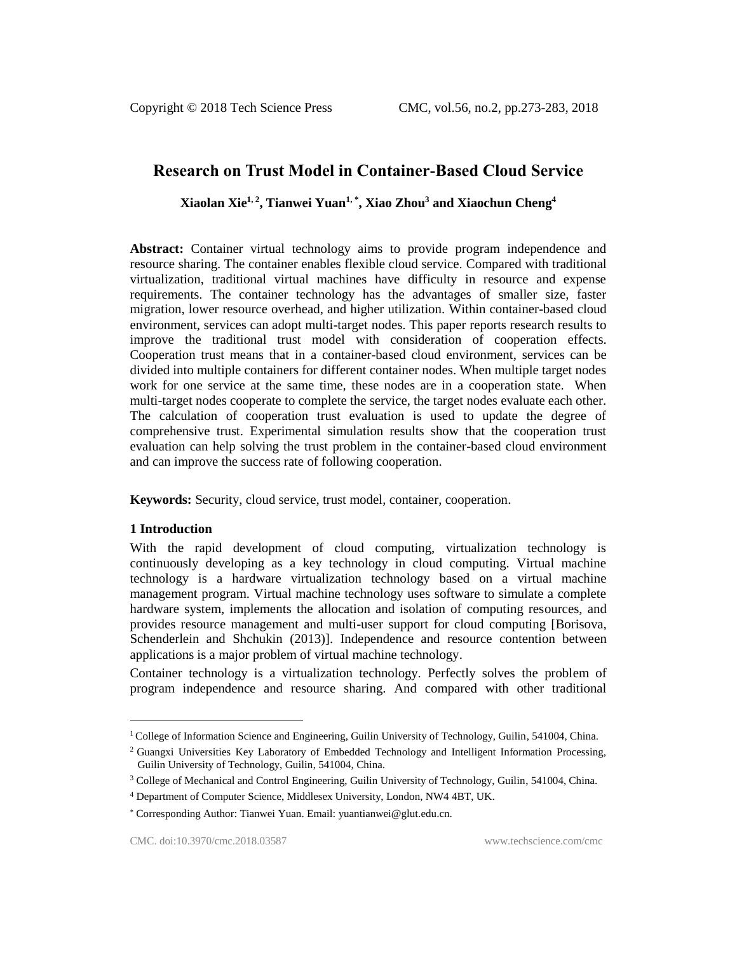# **Research on Trust Model in Container-Based Cloud Service**

**Xiaolan Xie1, <sup>2</sup> , Tianwei Yuan1, \* , Xiao Zhou<sup>3</sup> and Xiaochun Cheng<sup>4</sup>**

**Abstract:** Container virtual technology aims to provide program independence and resource sharing. The container enables flexible cloud service. Compared with traditional virtualization, traditional virtual machines have difficulty in resource and expense requirements. The container technology has the advantages of smaller size, faster migration, lower resource overhead, and higher utilization. Within container-based cloud environment, services can adopt multi-target nodes. This paper reports research results to improve the traditional trust model with consideration of cooperation effects. Cooperation trust means that in a container-based cloud environment, services can be divided into multiple containers for different container nodes. When multiple target nodes work for one service at the same time, these nodes are in a cooperation state. When multi-target nodes cooperate to complete the service, the target nodes evaluate each other. The calculation of cooperation trust evaluation is used to update the degree of comprehensive trust. Experimental simulation results show that the cooperation trust evaluation can help solving the trust problem in the container-based cloud environment and can improve the success rate of following cooperation.

**Keywords:** Security, cloud service, trust model, container, cooperation.

#### **1 Introduction**

 $\overline{a}$ 

With the rapid development of cloud computing, virtualization technology is continuously developing as a key technology in cloud computing. Virtual machine technology is a hardware virtualization technology based on a virtual machine management program. Virtual machine technology uses software to simulate a complete hardware system, implements the allocation and isolation of computing resources, and provides resource management and multi-user support for cloud computing [Borisova, Schenderlein and Shchukin (2013)]. Independence and resource contention between applications is a major problem of virtual machine technology.

Container technology is a virtualization technology. Perfectly solves the problem of program independence and resource sharing. And compared with other traditional

<sup>&</sup>lt;sup>1</sup> College of Information Science and Engineering, Guilin University of Technology, Guilin, 541004, China.

<sup>2</sup> Guangxi Universities Key Laboratory of Embedded Technology and Intelligent Information Processing, Guilin University of Technology, Guilin, 541004, China.

<sup>&</sup>lt;sup>3</sup> College of Mechanical and Control Engineering, Guilin University of Technology, Guilin, 541004, China.

<sup>4</sup> Department of Computer Science, Middlesex University, London, NW4 4BT, UK.

Corresponding Author: Tianwei Yuan. Email: yuantianwei@glut.edu.cn.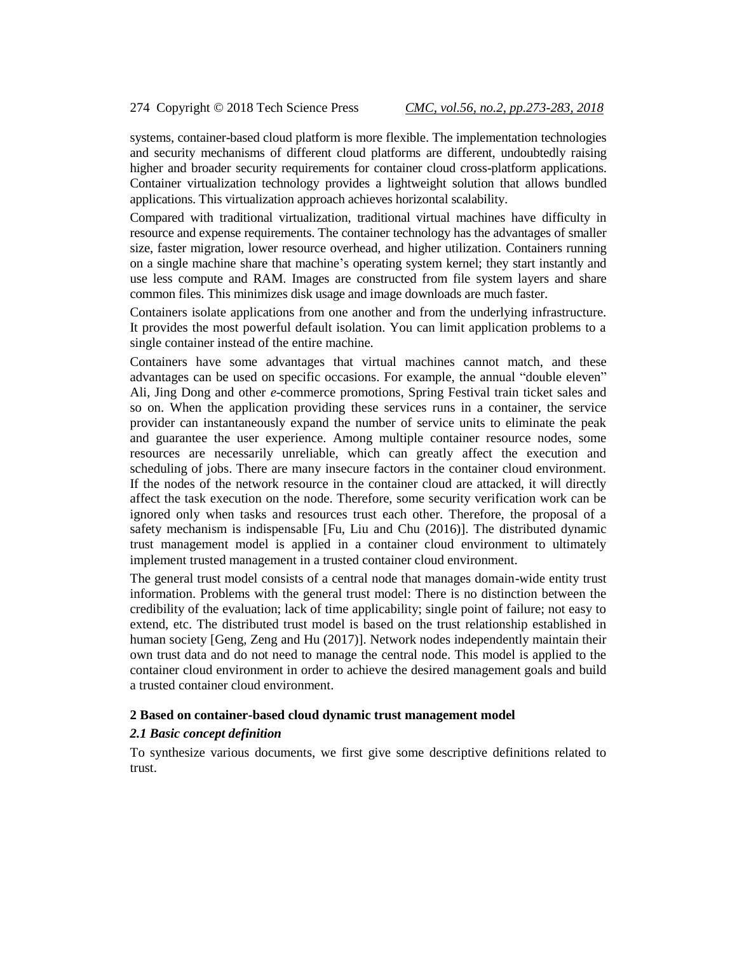systems, container-based cloud platform is more flexible. The implementation technologies and security mechanisms of different cloud platforms are different, undoubtedly raising higher and broader security requirements for container cloud cross-platform applications. Container virtualization technology provides a lightweight solution that allows bundled applications. This virtualization approach achieves horizontal scalability.

Compared with traditional virtualization, traditional virtual machines have difficulty in resource and expense requirements. The container technology has the advantages of smaller size, faster migration, lower resource overhead, and higher utilization. Containers running on a single machine share that machine's operating system kernel; they start instantly and use less compute and RAM. Images are constructed from file system layers and share common files. This minimizes disk usage and image downloads are much faster.

Containers isolate applications from one another and from the underlying infrastructure. It provides the most powerful default isolation. You can limit application problems to a single container instead of the entire machine.

Containers have some advantages that virtual machines cannot match, and these advantages can be used on specific occasions. For example, the annual "double eleven" Ali, Jing Dong and other *e*-commerce promotions, Spring Festival train ticket sales and so on. When the application providing these services runs in a container, the service provider can instantaneously expand the number of service units to eliminate the peak and guarantee the user experience. Among multiple container resource nodes, some resources are necessarily unreliable, which can greatly affect the execution and scheduling of jobs. There are many insecure factors in the container cloud environment. If the nodes of the network resource in the container cloud are attacked, it will directly affect the task execution on the node. Therefore, some security verification work can be ignored only when tasks and resources trust each other. Therefore, the proposal of a safety mechanism is indispensable [Fu, Liu and Chu (2016)]. The distributed dynamic trust management model is applied in a container cloud environment to ultimately implement trusted management in a trusted container cloud environment.

The general trust model consists of a central node that manages domain-wide entity trust information. Problems with the general trust model: There is no distinction between the credibility of the evaluation; lack of time applicability; single point of failure; not easy to extend, etc. The distributed trust model is based on the trust relationship established in human society [Geng, Zeng and Hu (2017)]. Network nodes independently maintain their own trust data and do not need to manage the central node. This model is applied to the container cloud environment in order to achieve the desired management goals and build a trusted container cloud environment.

#### **2 Based on container-based cloud dynamic trust management model**

#### *2.1 Basic concept definition*

To synthesize various documents, we first give some descriptive definitions related to trust.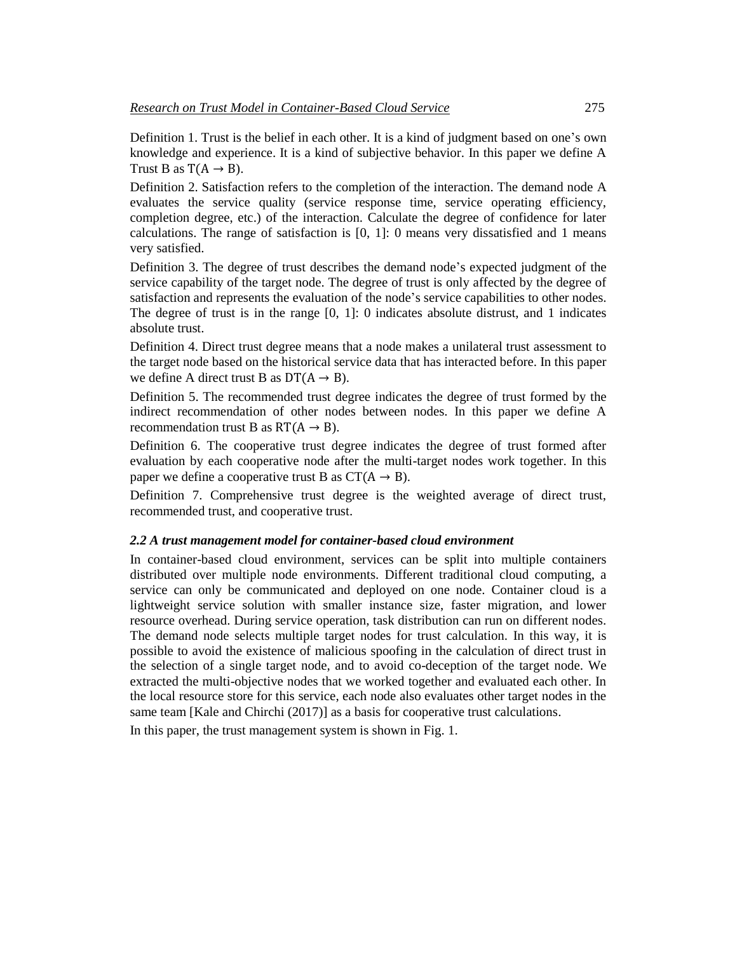Definition 1. Trust is the belief in each other. It is a kind of judgment based on one's own knowledge and experience. It is a kind of subjective behavior. In this paper we define A Trust B as  $T(A \rightarrow B)$ .

Definition 2. Satisfaction refers to the completion of the interaction. The demand node A evaluates the service quality (service response time, service operating efficiency, completion degree, etc.) of the interaction. Calculate the degree of confidence for later calculations. The range of satisfaction is [0, 1]: 0 means very dissatisfied and 1 means very satisfied.

Definition 3. The degree of trust describes the demand node's expected judgment of the service capability of the target node. The degree of trust is only affected by the degree of satisfaction and represents the evaluation of the node's service capabilities to other nodes. The degree of trust is in the range [0, 1]: 0 indicates absolute distrust, and 1 indicates absolute trust.

Definition 4. Direct trust degree means that a node makes a unilateral trust assessment to the target node based on the historical service data that has interacted before. In this paper we define A direct trust B as  $DT(A \rightarrow B)$ .

Definition 5. The recommended trust degree indicates the degree of trust formed by the indirect recommendation of other nodes between nodes. In this paper we define A recommendation trust B as  $RT(A \rightarrow B)$ .

Definition 6. The cooperative trust degree indicates the degree of trust formed after evaluation by each cooperative node after the multi-target nodes work together. In this paper we define a cooperative trust B as  $CT(A \rightarrow B)$ .

Definition 7. Comprehensive trust degree is the weighted average of direct trust, recommended trust, and cooperative trust.

#### *2.2 A trust management model for container-based cloud environment*

In container-based cloud environment, services can be split into multiple containers distributed over multiple node environments. Different traditional cloud computing, a service can only be communicated and deployed on one node. Container cloud is a lightweight service solution with smaller instance size, faster migration, and lower resource overhead. During service operation, task distribution can run on different nodes. The demand node selects multiple target nodes for trust calculation. In this way, it is possible to avoid the existence of malicious spoofing in the calculation of direct trust in the selection of a single target node, and to avoid co-deception of the target node. We extracted the multi-objective nodes that we worked together and evaluated each other. In the local resource store for this service, each node also evaluates other target nodes in the same team [Kale and Chirchi (2017)] as a basis for cooperative trust calculations. In this paper, the trust management system is shown in Fig. 1.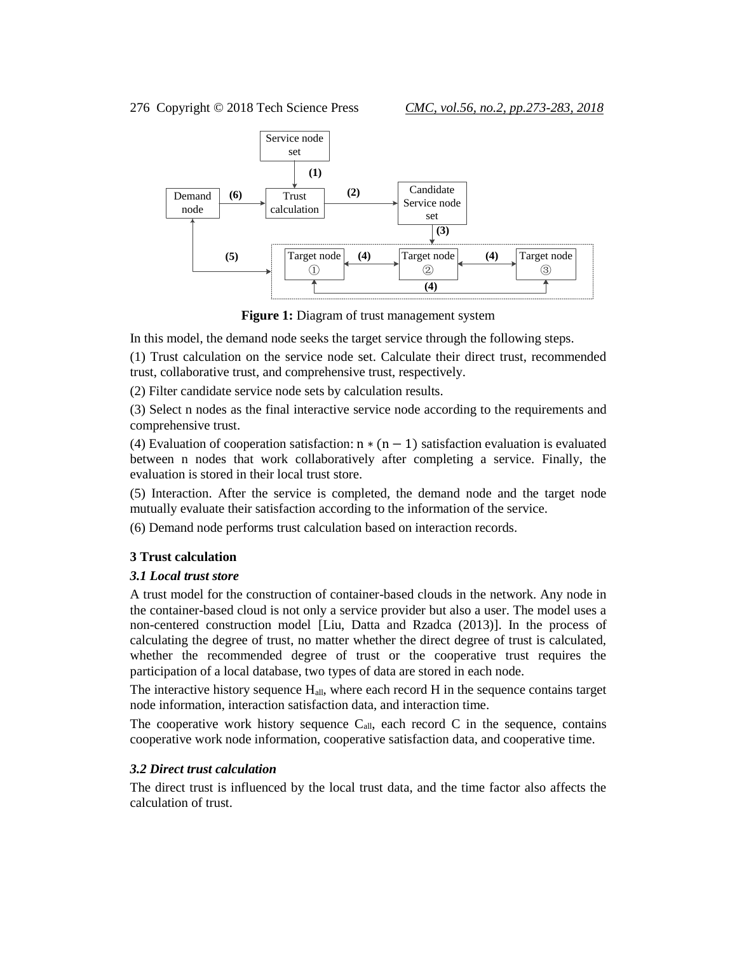

**Figure 1:** Diagram of trust management system

In this model, the demand node seeks the target service through the following steps.

(1) Trust calculation on the service node set. Calculate their direct trust, recommended trust, collaborative trust, and comprehensive trust, respectively.

(2) Filter candidate service node sets by calculation results.

(3) Select n nodes as the final interactive service node according to the requirements and comprehensive trust.

(4) Evaluation of cooperation satisfaction:  $n * (n - 1)$  satisfaction evaluation is evaluated between n nodes that work collaboratively after completing a service. Finally, the evaluation is stored in their local trust store.

(5) Interaction. After the service is completed, the demand node and the target node mutually evaluate their satisfaction according to the information of the service.

(6) Demand node performs trust calculation based on interaction records.

## **3 Trust calculation**

## *3.1 Local trust store*

A trust model for the construction of container-based clouds in the network. Any node in the container-based cloud is not only a service provider but also a user. The model uses a non-centered construction model [Liu, Datta and Rzadca (2013)]. In the process of calculating the degree of trust, no matter whether the direct degree of trust is calculated, whether the recommended degree of trust or the cooperative trust requires the participation of a local database, two types of data are stored in each node.

The interactive history sequence  $H_{all}$ , where each record  $H$  in the sequence contains target node information, interaction satisfaction data, and interaction time.

The cooperative work history sequence  $C_{all}$ , each record C in the sequence, contains cooperative work node information, cooperative satisfaction data, and cooperative time.

## *3.2 Direct trust calculation*

The direct trust is influenced by the local trust data, and the time factor also affects the calculation of trust.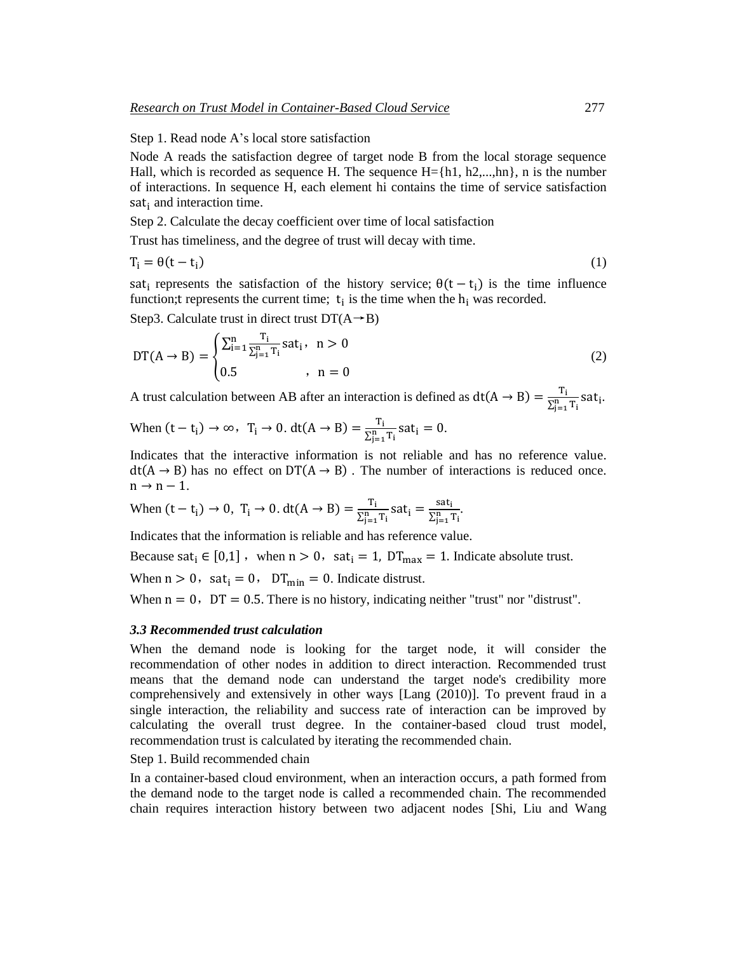Step 1. Read node A's local store satisfaction

Node A reads the satisfaction degree of target node B from the local storage sequence Hall, which is recorded as sequence H. The sequence  $H = \{h1, h2, \ldots, hn\}$ , n is the number of interactions. In sequence H, each element hi contains the time of service satisfaction sat $_{i}$  and interaction time.

Step 2. Calculate the decay coefficient over time of local satisfaction

Trust has timeliness, and the degree of trust will decay with time.

$$
T_i = \theta(t - t_i) \tag{1}
$$

sat<sub>i</sub> represents the satisfaction of the history service;  $\theta(t - t_i)$  is the time influence function; t represents the current time;  $t_i$  is the time when the  $h_i$  was recorded.

Step3. Calculate trust in direct trust  $DT(A \rightarrow B)$ 

$$
DT(A \to B) = \begin{cases} \sum_{i=1}^{n} \frac{T_i}{\sum_{j=1}^{n} T_i} \text{sat}_i, & n > 0\\ 0.5 & n = 0 \end{cases}
$$
 (2)

A trust calculation between AB after an interaction is defined as  $dt(A \rightarrow B) = \frac{T_i}{S n}$  $\frac{r_i}{\sum_{j=1}^n T_i}$ sat<sub>i</sub>.

When 
$$
(t - t_i) \rightarrow \infty
$$
,  $T_i \rightarrow 0$ .  $dt(A \rightarrow B) = \frac{T_i}{\sum_{j=1}^{n} T_i} sat_i = 0$ .

Indicates that the interactive information is not reliable and has no reference value.  $dt(A \rightarrow B)$  has no effect on DT( $A \rightarrow B$ ). The number of interactions is reduced once.  $n \rightarrow n-1$ .

When 
$$
(t - t_i) \rightarrow 0
$$
,  $T_i \rightarrow 0$ .  $dt(A \rightarrow B) = \frac{T_i}{\sum_{j=1}^{n} T_i} sat_i = \frac{sat_i}{\sum_{j=1}^{n} T_i}$ .

Indicates that the information is reliable and has reference value.

Because sat<sub>i</sub>  $\in [0,1]$ , when  $n > 0$ , sat<sub>i</sub> = 1, DT<sub>max</sub> = 1. Indicate absolute trust.

When  $n > 0$ , sat<sub>i</sub> = 0, DT<sub>min</sub> = 0. Indicate distrust.

When  $n = 0$ ,  $DT = 0.5$ . There is no history, indicating neither "trust" nor "distrust".

#### *3.3 Recommended trust calculation*

When the demand node is looking for the target node, it will consider the recommendation of other nodes in addition to direct interaction. Recommended trust means that the demand node can understand the target node's credibility more comprehensively and extensively in other ways [Lang (2010)]. To prevent fraud in a single interaction, the reliability and success rate of interaction can be improved by calculating the overall trust degree. In the container-based cloud trust model, recommendation trust is calculated by iterating the recommended chain.

Step 1. Build recommended chain

In a container-based cloud environment, when an interaction occurs, a path formed from the demand node to the target node is called a recommended chain. The recommended chain requires interaction history between two adjacent nodes [Shi, Liu and Wang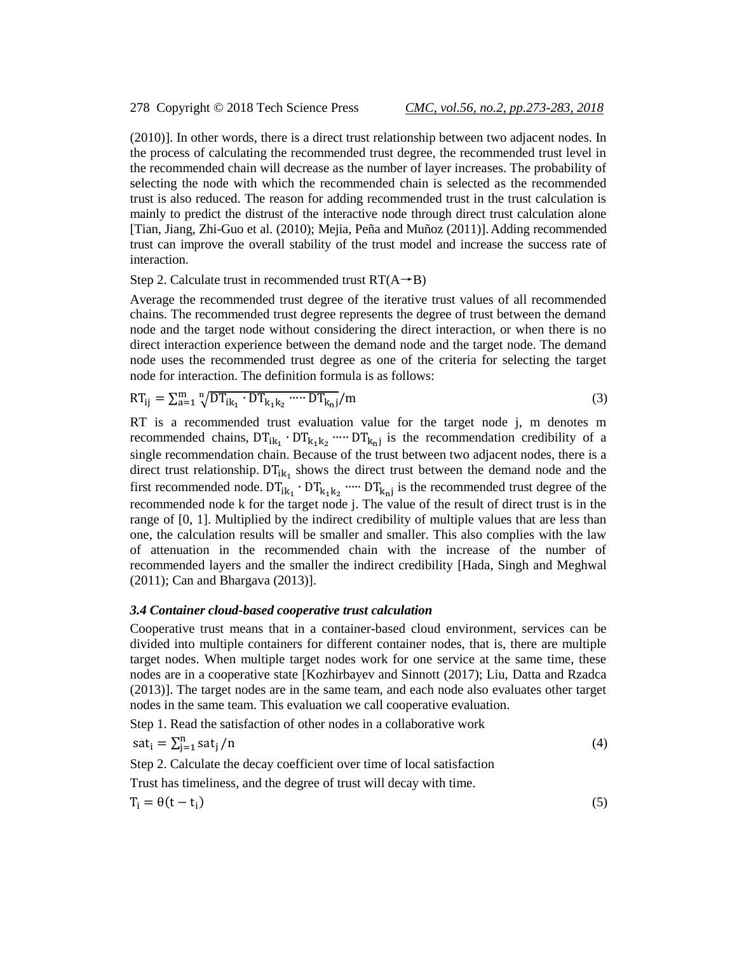(2010)]. In other words, there is a direct trust relationship between two adjacent nodes. In the process of calculating the recommended trust degree, the recommended trust level in the recommended chain will decrease as the number of layer increases. The probability of selecting the node with which the recommended chain is selected as the recommended trust is also reduced. The reason for adding recommended trust in the trust calculation is mainly to predict the distrust of the interactive node through direct trust calculation alone [Tian, Jiang, Zhi-Guo et al. (2010); Mejia, Peña and Muñoz (2011)].Adding recommended trust can improve the overall stability of the trust model and increase the success rate of interaction.

Step 2. Calculate trust in recommended trust  $RT(A \rightarrow B)$ 

Average the recommended trust degree of the iterative trust values of all recommended chains. The recommended trust degree represents the degree of trust between the demand node and the target node without considering the direct interaction, or when there is no direct interaction experience between the demand node and the target node. The demand node uses the recommended trust degree as one of the criteria for selecting the target node for interaction. The definition formula is as follows:

$$
RT_{ij} = \sum_{a=1}^{m} \sqrt[n]{DT_{ik_1} \cdot DT_{k_1k_2} \cdots DT_{k_nj}} / m
$$
 (3)

RT is a recommended trust evaluation value for the target node j, m denotes m recommended chains,  $DT_{ik_1} \cdot DT_{k_1k_2} \cdots \cdot DT_{k_nj}$  is the recommendation credibility of a single recommendation chain. Because of the trust between two adjacent nodes, there is a direct trust relationship.  $DT_{ik_1}$  shows the direct trust between the demand node and the first recommended node.  $DT_{ik_1} \cdot DT_{k_1k_2} \cdots \cdot DT_{k_nj}$  is the recommended trust degree of the recommended node k for the target node j. The value of the result of direct trust is in the range of [0, 1]. Multiplied by the indirect credibility of multiple values that are less than one, the calculation results will be smaller and smaller. This also complies with the law of attenuation in the recommended chain with the increase of the number of recommended layers and the smaller the indirect credibility [Hada, Singh and Meghwal (2011); Can and Bhargava (2013)].

#### *3.4 Container cloud-based cooperative trust calculation*

Cooperative trust means that in a container-based cloud environment, services can be divided into multiple containers for different container nodes, that is, there are multiple target nodes. When multiple target nodes work for one service at the same time, these nodes are in a cooperative state [Kozhirbayev and Sinnott (2017); Liu, Datta and Rzadca (2013)]. The target nodes are in the same team, and each node also evaluates other target nodes in the same team. This evaluation we call cooperative evaluation.

Step 1. Read the satisfaction of other nodes in a collaborative work

$$
sat_i = \sum_{j=1}^{n} sat_j / n \tag{4}
$$

Step 2. Calculate the decay coefficient over time of local satisfaction

Trust has timeliness, and the degree of trust will decay with time.

$$
T_i = \theta(t - t_i) \tag{5}
$$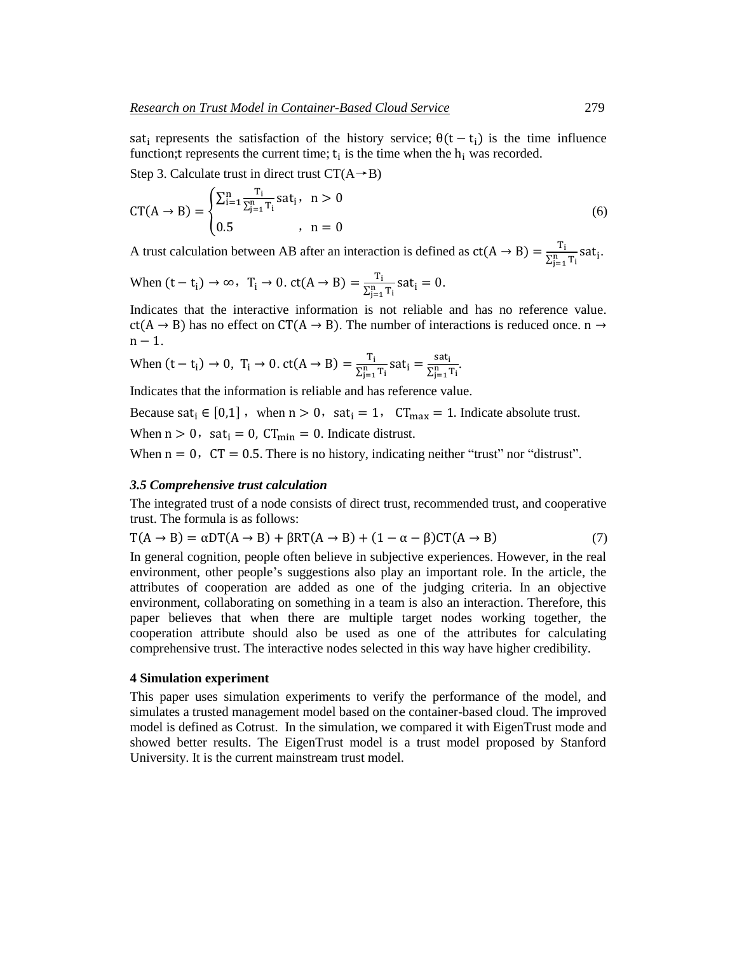sat<sub>i</sub> represents the satisfaction of the history service;  $\theta(t - t_i)$  is the time influence function; t represents the current time;  $t_i$  is the time when the  $h_i$  was recorded.

Step 3. Calculate trust in direct trust  $CT(A \rightarrow B)$ 

$$
CT(A \to B) = \begin{cases} \sum_{i=1}^{n} \frac{T_i}{\sum_{j=1}^{n} T_i} \text{sat}_i, & n > 0\\ 0.5 & , n = 0 \end{cases}
$$
 (6)

A trust calculation between AB after an interaction is defined as  $ct(A \rightarrow B) = \frac{T_i}{S B}$  $\frac{r_i}{\sum_{j=1}^n T_i}$ sat<sub>i</sub>.

When 
$$
(t - t_i) \rightarrow \infty
$$
,  $T_i \rightarrow 0$ .  $ct(A \rightarrow B) = \frac{T_i}{\sum_{j=1}^{n} T_i} sat_i = 0$ .

Indicates that the interactive information is not reliable and has no reference value.  $ct(A \rightarrow B)$  has no effect on CT(A  $\rightarrow$  B). The number of interactions is reduced once. n  $\rightarrow$  $n - 1$ .

When 
$$
(t - t_i) \rightarrow 0
$$
,  $T_i \rightarrow 0$ .  $ct(A \rightarrow B) = \frac{T_i}{\sum_{j=1}^{n} T_i} \text{sat}_i = \frac{\text{sat}_i}{\sum_{j=1}^{n} T_i}$ .

Indicates that the information is reliable and has reference value.

Because sat<sub>i</sub>  $\in [0,1]$ , when  $n > 0$ , sat<sub>i</sub> = 1, CT<sub>max</sub> = 1. Indicate absolute trust.

When  $n > 0$ , sat<sub>i</sub> = 0, CT<sub>min</sub> = 0. Indicate distrust.

When  $n = 0$ ,  $CT = 0.5$ . There is no history, indicating neither "trust" nor "distrust".

#### *3.5 Comprehensive trust calculation*

The integrated trust of a node consists of direct trust, recommended trust, and cooperative trust. The formula is as follows:

$$
T(A \to B) = \alpha DT(A \to B) + \beta RT(A \to B) + (1 - \alpha - \beta) CT(A \to B)
$$
\n(7)

In general cognition, people often believe in subjective experiences. However, in the real environment, other people's suggestions also play an important role. In the article, the attributes of cooperation are added as one of the judging criteria. In an objective environment, collaborating on something in a team is also an interaction. Therefore, this paper believes that when there are multiple target nodes working together, the cooperation attribute should also be used as one of the attributes for calculating comprehensive trust. The interactive nodes selected in this way have higher credibility.

#### **4 Simulation experiment**

This paper uses simulation experiments to verify the performance of the model, and simulates a trusted management model based on the container-based cloud. The improved model is defined as Cotrust. In the simulation, we compared it with EigenTrust mode and showed better results. The EigenTrust model is a trust model proposed by Stanford University. It is the current mainstream trust model.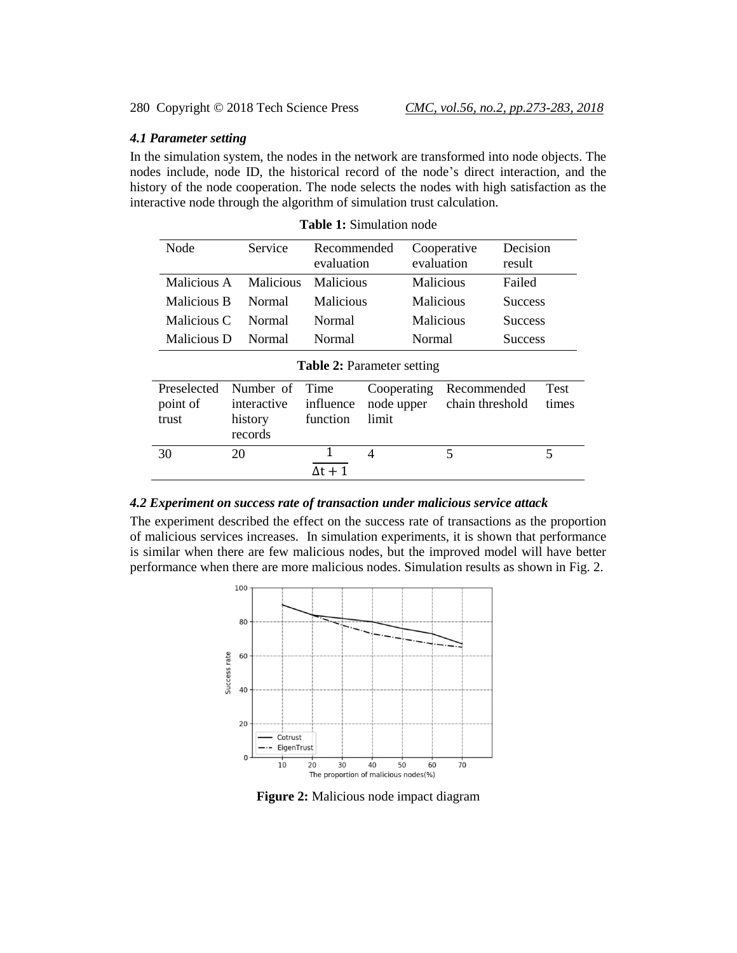### *4.1 Parameter setting*

In the simulation system, the nodes in the network are transformed into node objects. The nodes include, node ID, the historical record of the node's direct interaction, and the history of the node cooperation. The node selects the nodes with high satisfaction as the interactive node through the algorithm of simulation trust calculation.

| Node                              | Service     | Recommended<br>evaluation |                          | Cooperative<br>evaluation | Decision<br>result |             |  |  |
|-----------------------------------|-------------|---------------------------|--------------------------|---------------------------|--------------------|-------------|--|--|
| Malicious A                       | Malicious   | Malicious                 |                          | Malicious                 | Failed             |             |  |  |
| Malicious B                       | Normal      | Malicious                 |                          | Malicious                 | <b>Success</b>     |             |  |  |
| Malicious C                       | Normal      | Normal                    |                          | Malicious                 | <b>Success</b>     |             |  |  |
| Malicious D                       | Normal      | Normal                    |                          | Normal                    | <b>Success</b>     |             |  |  |
| <b>Table 2: Parameter setting</b> |             |                           |                          |                           |                    |             |  |  |
| Preselected                       | Number of   | Time                      | Cooperating              | Recommended               |                    | <b>Test</b> |  |  |
| point of                          | interactive | influence                 | node upper               | chain threshold           |                    | times       |  |  |
| trust                             | history     | function                  | limit                    |                           |                    |             |  |  |
|                                   | records     |                           |                          |                           |                    |             |  |  |
| 30                                | 20          | 1                         | $\overline{\mathcal{A}}$ | 5                         |                    | 5           |  |  |
|                                   |             | Δt + 1                    |                          |                           |                    |             |  |  |

|  | <b>Table 1: Simulation node</b> |  |
|--|---------------------------------|--|
|--|---------------------------------|--|

### *4.2 Experiment on success rate of transaction under malicious service attack*

The experiment described the effect on the success rate of transactions as the proportion of malicious services increases. In simulation experiments, it is shown that performance is similar when there are few malicious nodes, but the improved model will have better performance when there are more malicious nodes. Simulation results as shown in Fig. 2.



**Figure 2:** Malicious node impact diagram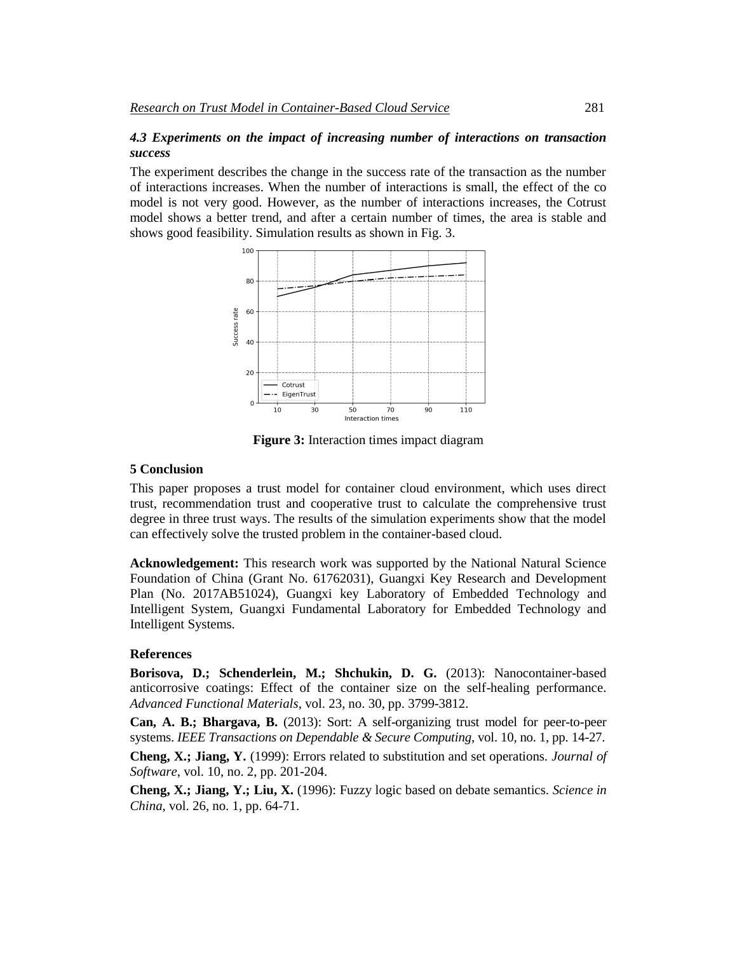## *4.3 Experiments on the impact of increasing number of interactions on transaction success*

The experiment describes the change in the success rate of the transaction as the number of interactions increases. When the number of interactions is small, the effect of the co model is not very good. However, as the number of interactions increases, the Cotrust model shows a better trend, and after a certain number of times, the area is stable and shows good feasibility. Simulation results as shown in Fig. 3.



**Figure 3:** Interaction times impact diagram

#### **5 Conclusion**

This paper proposes a trust model for container cloud environment, which uses direct trust, recommendation trust and cooperative trust to calculate the comprehensive trust degree in three trust ways. The results of the simulation experiments show that the model can effectively solve the trusted problem in the container-based cloud.

**Acknowledgement:** This research work was supported by the National Natural Science Foundation of China (Grant No. 61762031), Guangxi Key Research and Development Plan (No. 2017AB51024), Guangxi key Laboratory of Embedded Technology and Intelligent System, Guangxi Fundamental Laboratory for Embedded Technology and Intelligent Systems.

#### **References**

**Borisova, D.; Schenderlein, M.; Shchukin, D. G.** (2013): Nanocontainer-based anticorrosive coatings: Effect of the container size on the self-healing performance. *Advanced Functional Materials*, vol. 23, no. 30, pp. 3799-3812.

**Can, A. B.; Bhargava, B.** (2013): Sort: A self-organizing trust model for peer-to-peer systems. *IEEE Transactions on Dependable & Secure Computing*, vol. 10, no. 1, pp. 14-27.

**Cheng, X.; Jiang, Y.** (1999): Errors related to substitution and set operations. *Journal of Software*, vol. 10, no. 2, pp. 201-204.

**Cheng, X.; Jiang, Y.; Liu, X.** (1996): Fuzzy logic based on debate semantics. *Science in China*, vol. 26, no. 1, pp. 64-71.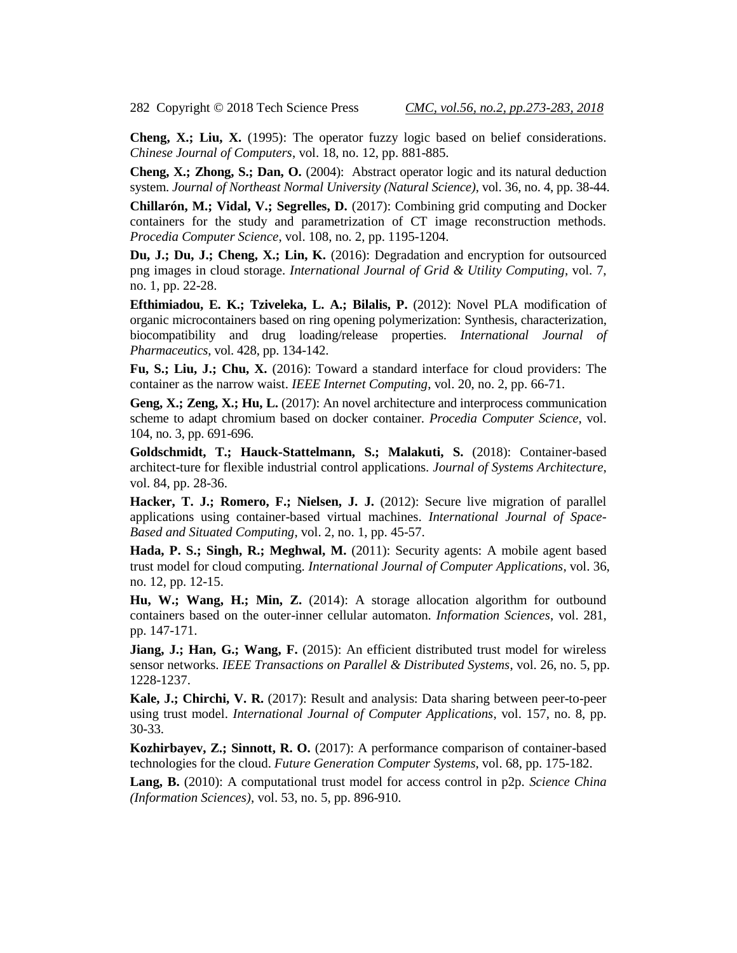**Cheng, X.; Liu, X.** (1995): The operator fuzzy logic based on belief considerations. *Chinese Journal of Computers*, vol. 18, no. 12, pp. 881-885.

**Cheng, X.; Zhong, S.; Dan, O.** (2004): Abstract operator logic and its natural deduction system. *Journal of Northeast Normal University (Natural Science)*, vol. 36, no. 4, pp. 38-44.

**Chillarón, M.; Vidal, V.; Segrelles, D.** (2017): Combining grid computing and Docker containers for the study and parametrization of CT image reconstruction methods. *Procedia Computer Science*, vol. 108, no. 2, pp. 1195-1204.

**Du, J.; Du, J.; Cheng, X.; Lin, K.** (2016): Degradation and encryption for outsourced png images in cloud storage. *International Journal of Grid & Utility Computing*, vol. 7, no. 1, pp. 22-28.

**Efthimiadou, E. K.; Tziveleka, L. A.; Bilalis, P.** (2012): Novel PLA modification of organic microcontainers based on ring opening polymerization: Synthesis, characterization, biocompatibility and drug loading/release properties. *International Journal of Pharmaceutics*, vol. 428, pp. 134-142.

**Fu, S.; Liu, J.; Chu, X.** (2016): Toward a standard interface for cloud providers: The container as the narrow waist. *IEEE Internet Computing*, vol. 20, no. 2, pp. 66-71.

**Geng, X.; Zeng, X.; Hu, L.** (2017): An novel architecture and interprocess communication scheme to adapt chromium based on docker container. *Procedia Computer Science*, vol. 104, no. 3, pp. 691-696.

**Goldschmidt, T.; Hauck-Stattelmann, S.; Malakuti, S.** (2018): Container-based architect-ture for flexible industrial control applications. *Journal of Systems Architecture*, vol. 84, pp. 28-36.

**Hacker, T. J.; Romero, F.; Nielsen, J. J.** (2012): Secure live migration of parallel applications using container-based virtual machines. *International Journal of Space-Based and Situated Computing*, vol. 2, no. 1, pp. 45-57.

**Hada, P. S.; Singh, R.; Meghwal, M.** (2011): Security agents: A mobile agent based trust model for cloud computing. *International Journal of Computer Applications*, vol. 36, no. 12, pp. 12-15.

**Hu, W.; Wang, H.; Min, Z.** (2014): A storage allocation algorithm for outbound containers based on the outer-inner cellular automaton. *Information Sciences*, vol. 281, pp. 147-171.

**Jiang, J.; Han, G.; Wang, F.** (2015): An efficient distributed trust model for wireless sensor networks. *IEEE Transactions on Parallel & Distributed Systems*, vol. 26, no. 5, pp. 1228-1237.

**Kale, J.; Chirchi, V. R.** (2017): Result and analysis: Data sharing between peer-to-peer using trust model. *International Journal of Computer Applications*, vol. 157, no. 8, pp. 30-33.

**Kozhirbayev, Z.; Sinnott, R. O.** (2017): A performance comparison of container-based technologies for the cloud. *Future Generation Computer Systems*, vol. 68, pp. 175-182.

**Lang, B.** (2010): A computational trust model for access control in p2p. *Science China (Information Sciences)*, vol. 53, no. 5, pp. 896-910.